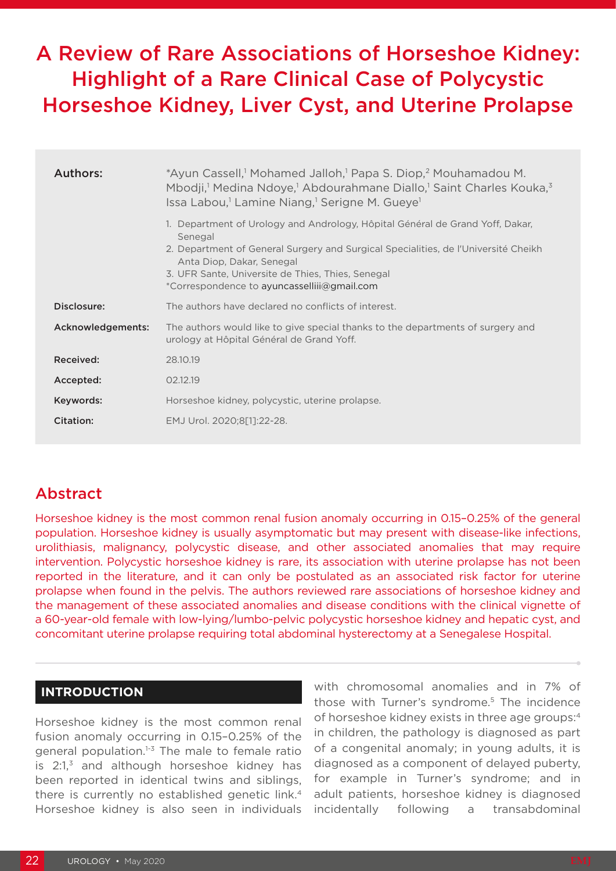# A Review of Rare Associations of Horseshoe Kidney: Highlight of a Rare Clinical Case of Polycystic Horseshoe Kidney, Liver Cyst, and Uterine Prolapse

| Authors:          | *Ayun Cassell, <sup>1</sup> Mohamed Jalloh, <sup>1</sup> Papa S. Diop, <sup>2</sup> Mouhamadou M.<br>Mbodji, <sup>1</sup> Medina Ndoye, <sup>1</sup> Abdourahmane Diallo, <sup>1</sup> Saint Charles Kouka, <sup>3</sup><br>Issa Labou, <sup>1</sup> Lamine Niang, <sup>1</sup> Serigne M. Gueye <sup>1</sup>   |  |  |  |  |  |
|-------------------|-----------------------------------------------------------------------------------------------------------------------------------------------------------------------------------------------------------------------------------------------------------------------------------------------------------------|--|--|--|--|--|
|                   | 1. Department of Urology and Andrology, Hôpital Général de Grand Yoff, Dakar,<br>Senegal<br>2. Department of General Surgery and Surgical Specialities, de l'Université Cheikh<br>Anta Diop, Dakar, Senegal<br>3. UFR Sante, Universite de Thies, Thies, Senegal<br>*Correspondence to ayuncasselliii@gmail.com |  |  |  |  |  |
| Disclosure:       | The authors have declared no conflicts of interest.                                                                                                                                                                                                                                                             |  |  |  |  |  |
| Acknowledgements: | The authors would like to give special thanks to the departments of surgery and<br>urology at Hôpital Général de Grand Yoff.                                                                                                                                                                                    |  |  |  |  |  |
| Received:         | 28.10.19                                                                                                                                                                                                                                                                                                        |  |  |  |  |  |
| Accepted:         | 02.12.19                                                                                                                                                                                                                                                                                                        |  |  |  |  |  |
| Keywords:         | Horseshoe kidney, polycystic, uterine prolapse.                                                                                                                                                                                                                                                                 |  |  |  |  |  |
| Citation:         | EMJ Urol. 2020;8[1]:22-28.                                                                                                                                                                                                                                                                                      |  |  |  |  |  |

# Abstract

Horseshoe kidney is the most common renal fusion anomaly occurring in 0.15–0.25% of the general population. Horseshoe kidney is usually asymptomatic but may present with disease-like infections, urolithiasis, malignancy, polycystic disease, and other associated anomalies that may require intervention. Polycystic horseshoe kidney is rare, its association with uterine prolapse has not been reported in the literature, and it can only be postulated as an associated risk factor for uterine prolapse when found in the pelvis. The authors reviewed rare associations of horseshoe kidney and the management of these associated anomalies and disease conditions with the clinical vignette of a 60-year-old female with low-lying/lumbo-pelvic polycystic horseshoe kidney and hepatic cyst, and concomitant uterine prolapse requiring total abdominal hysterectomy at a Senegalese Hospital.

# **INTRODUCTION**

Horseshoe kidney is the most common renal fusion anomaly occurring in 0.15–0.25% of the general population. $1-3$  The male to female ratio is  $2:1$ ,<sup>3</sup> and although horseshoe kidney has been reported in identical twins and siblings, there is currently no established genetic link.<sup>4</sup> Horseshoe kidney is also seen in individuals

with chromosomal anomalies and in 7% of those with Turner's syndrome.<sup>5</sup> The incidence of horseshoe kidney exists in three age groups:4 in children, the pathology is diagnosed as part of a congenital anomaly; in young adults, it is diagnosed as a component of delayed puberty, for example in Turner's syndrome; and in adult patients, horseshoe kidney is diagnosed incidentally following a transabdominal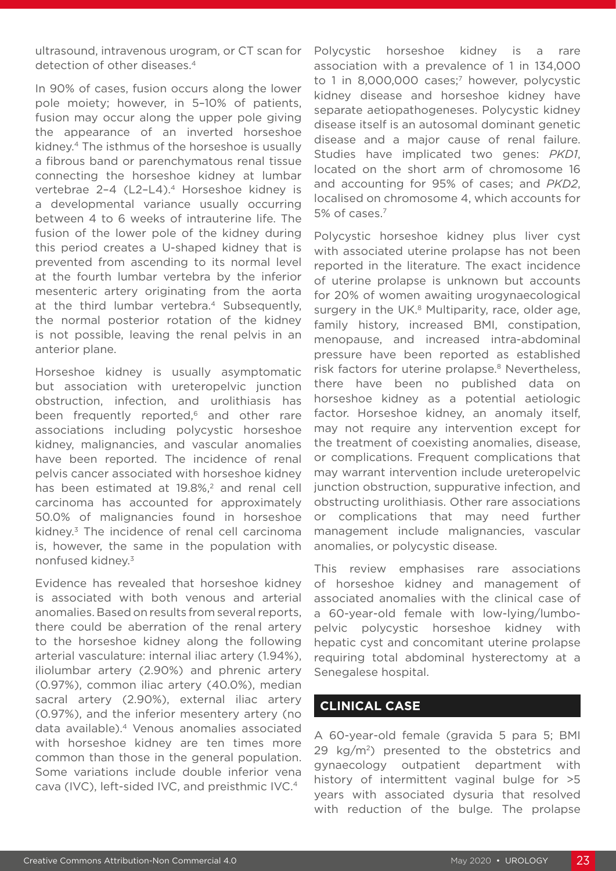ultrasound, intravenous urogram, or CT scan for detection of other diseases.<sup>4</sup>

In 90% of cases, fusion occurs along the lower pole moiety; however, in 5–10% of patients, fusion may occur along the upper pole giving the appearance of an inverted horseshoe kidney.4 The isthmus of the horseshoe is usually a fibrous band or parenchymatous renal tissue connecting the horseshoe kidney at lumbar vertebrae 2-4 (L2-L4).<sup>4</sup> Horseshoe kidney is a developmental variance usually occurring between 4 to 6 weeks of intrauterine life. The fusion of the lower pole of the kidney during this period creates a U-shaped kidney that is prevented from ascending to its normal level at the fourth lumbar vertebra by the inferior mesenteric artery originating from the aorta at the third lumbar vertebra.<sup>4</sup> Subsequently, the normal posterior rotation of the kidney is not possible, leaving the renal pelvis in an anterior plane.

Horseshoe kidney is usually asymptomatic but association with ureteropelvic junction obstruction, infection, and urolithiasis has been frequently reported,<sup>6</sup> and other rare associations including polycystic horseshoe kidney, malignancies, and vascular anomalies have been reported. The incidence of renal pelvis cancer associated with horseshoe kidney has been estimated at 19.8%,<sup>2</sup> and renal cell carcinoma has accounted for approximately 50.0% of malignancies found in horseshoe kidney.3 The incidence of renal cell carcinoma is, however, the same in the population with nonfused kidney.3

Evidence has revealed that horseshoe kidney is associated with both venous and arterial anomalies. Based on results from several reports, there could be aberration of the renal artery to the horseshoe kidney along the following arterial vasculature: internal iliac artery (1.94%), iliolumbar artery (2.90%) and phrenic artery (0.97%), common iliac artery (40.0%), median sacral artery (2.90%), external iliac artery (0.97%), and the inferior mesentery artery (no data available).4 Venous anomalies associated with horseshoe kidney are ten times more common than those in the general population. Some variations include double inferior vena cava (IVC), left-sided IVC, and preisthmic IVC.4

Polycystic horseshoe kidney is a rare association with a prevalence of 1 in 134,000 to 1 in 8,000,000 cases;<sup>7</sup> however, polycystic kidney disease and horseshoe kidney have separate aetiopathogeneses. Polycystic kidney disease itself is an autosomal dominant genetic disease and a major cause of renal failure. Studies have implicated two genes: *PKD1*, located on the short arm of chromosome 16 and accounting for 95% of cases; and *PKD2*, localised on chromosome 4, which accounts for 5% of cases.7

Polycystic horseshoe kidney plus liver cyst with associated uterine prolapse has not been reported in the literature. The exact incidence of uterine prolapse is unknown but accounts for 20% of women awaiting urogynaecological surgery in the UK. $8$  Multiparity, race, older age, family history, increased BMI, constipation, menopause, and increased intra-abdominal pressure have been reported as established risk factors for uterine prolapse.<sup>8</sup> Nevertheless, there have been no published data on horseshoe kidney as a potential aetiologic factor. Horseshoe kidney, an anomaly itself, may not require any intervention except for the treatment of coexisting anomalies, disease, or complications. Frequent complications that may warrant intervention include ureteropelvic junction obstruction, suppurative infection, and obstructing urolithiasis. Other rare associations or complications that may need further management include malignancies, vascular anomalies, or polycystic disease.

This review emphasises rare associations of horseshoe kidney and management of associated anomalies with the clinical case of a 60-year-old female with low-lying/lumbopelvic polycystic horseshoe kidney with hepatic cyst and concomitant uterine prolapse requiring total abdominal hysterectomy at a Senegalese hospital.

# **CLINICAL CASE**

A 60-year-old female (gravida 5 para 5; BMI 29  $\text{kg/m}^2$ ) presented to the obstetrics and gynaecology outpatient department with history of intermittent vaginal bulge for >5 years with associated dysuria that resolved with reduction of the bulge. The prolapse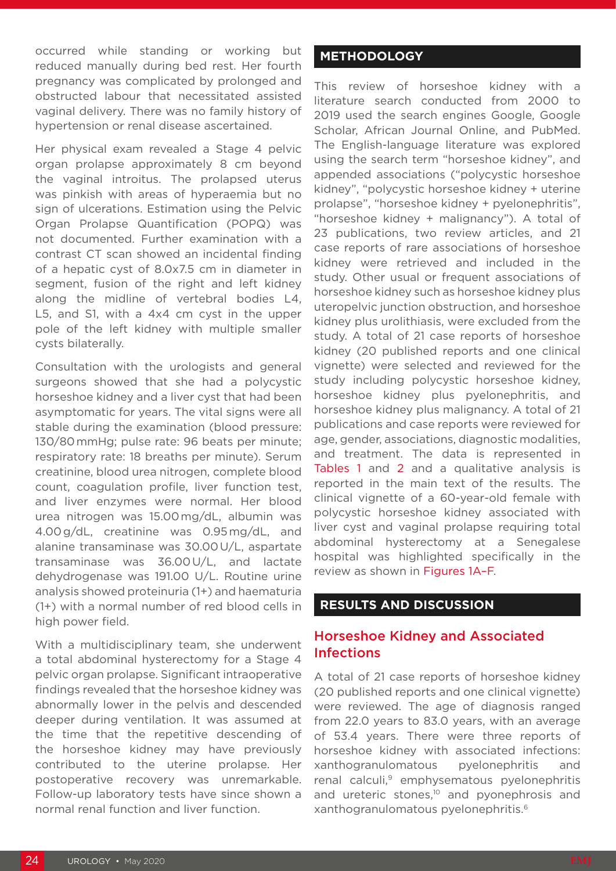occurred while standing or working but reduced manually during bed rest. Her fourth pregnancy was complicated by prolonged and obstructed labour that necessitated assisted vaginal delivery. There was no family history of hypertension or renal disease ascertained.

Her physical exam revealed a Stage 4 pelvic organ prolapse approximately 8 cm beyond the vaginal introitus. The prolapsed uterus was pinkish with areas of hyperaemia but no sign of ulcerations. Estimation using the Pelvic Organ Prolapse Quantification (POPQ) was not documented. Further examination with a contrast CT scan showed an incidental finding of a hepatic cyst of 8.0x7.5 cm in diameter in segment, fusion of the right and left kidney along the midline of vertebral bodies L4, L5, and S1, with a 4x4 cm cyst in the upper pole of the left kidney with multiple smaller cysts bilaterally.

Consultation with the urologists and general surgeons showed that she had a polycystic horseshoe kidney and a liver cyst that had been asymptomatic for years. The vital signs were all stable during the examination (blood pressure: 130/80 mmHg; pulse rate: 96 beats per minute; respiratory rate: 18 breaths per minute). Serum creatinine, blood urea nitrogen, complete blood count, coagulation profile, liver function test, and liver enzymes were normal. Her blood urea nitrogen was 15.00 mg/dL, albumin was 4.00 g/dL, creatinine was 0.95 mg/dL, and alanine transaminase was 30.00 U/L, aspartate transaminase was 36.00 U/L, and lactate dehydrogenase was 191.00 U/L. Routine urine analysis showed proteinuria (1+) and haematuria (1+) with a normal number of red blood cells in high power field.

With a multidisciplinary team, she underwent a total abdominal hysterectomy for a Stage 4 pelvic organ prolapse. Significant intraoperative findings revealed that the horseshoe kidney was abnormally lower in the pelvis and descended deeper during ventilation. It was assumed at the time that the repetitive descending of the horseshoe kidney may have previously contributed to the uterine prolapse. Her postoperative recovery was unremarkable. Follow-up laboratory tests have since shown a normal renal function and liver function.

# **METHODOLOGY**

This review of horseshoe kidney with a literature search conducted from 2000 to 2019 used the search engines Google, Google Scholar, African Journal Online, and PubMed. The English-language literature was explored using the search term "horseshoe kidney", and appended associations ("polycystic horseshoe kidney", "polycystic horseshoe kidney + uterine prolapse", "horseshoe kidney + pyelonephritis", "horseshoe kidney + malignancy"). A total of 23 publications, two review articles, and 21 case reports of rare associations of horseshoe kidney were retrieved and included in the study. Other usual or frequent associations of horseshoe kidney such as horseshoe kidney plus uteropelvic junction obstruction, and horseshoe kidney plus urolithiasis, were excluded from the study. A total of 21 case reports of horseshoe kidney (20 published reports and one clinical vignette) were selected and reviewed for the study including polycystic horseshoe kidney, horseshoe kidney plus pyelonephritis, and horseshoe kidney plus malignancy. A total of 21 publications and case reports were reviewed for age, gender, associations, diagnostic modalities, and treatment. The data is represented in Tables 1 and 2 and a qualitative analysis is reported in the main text of the results. The clinical vignette of a 60-year-old female with polycystic horseshoe kidney associated with liver cyst and vaginal prolapse requiring total abdominal hysterectomy at a Senegalese hospital was highlighted specifically in the review as shown in Figures 1A–F.

# **RESULTS AND DISCUSSION**

# Horseshoe Kidney and Associated Infections

A total of 21 case reports of horseshoe kidney (20 published reports and one clinical vignette) were reviewed. The age of diagnosis ranged from 22.0 years to 83.0 years, with an average of 53.4 years. There were three reports of horseshoe kidney with associated infections: xanthogranulomatous pyelonephritis and renal calculi,<sup>9</sup> emphysematous pyelonephritis and ureteric stones,<sup>10</sup> and pyonephrosis and xanthogranulomatous pyelonephritis.6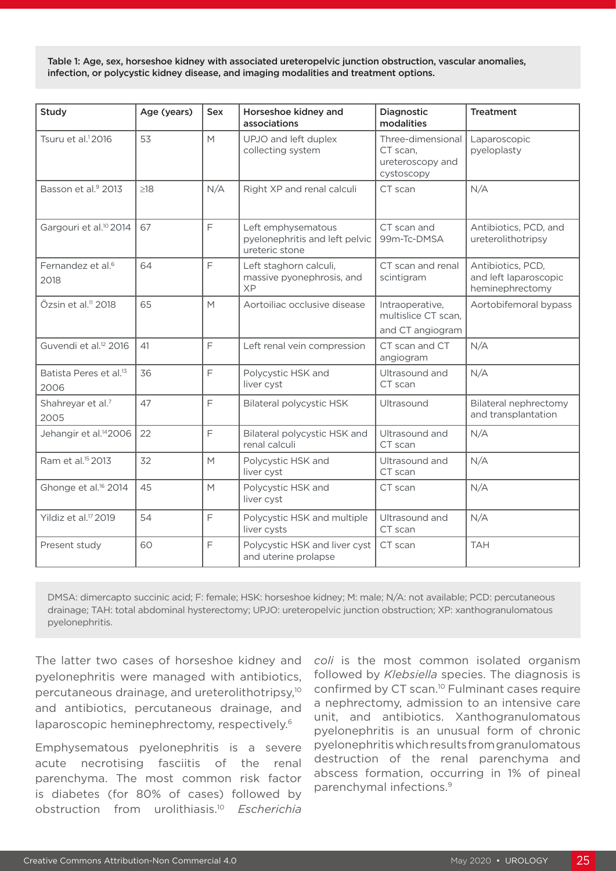Table 1: Age, sex, horseshoe kidney with associated ureteropelvic junction obstruction, vascular anomalies, infection, or polycystic kidney disease, and imaging modalities and treatment options.

| Study                                      | Age (years) | <b>Sex</b> | Horseshoe kidney and<br>associations                                   | Diagnostic<br>modalities                                        | <b>Treatment</b>                                              |
|--------------------------------------------|-------------|------------|------------------------------------------------------------------------|-----------------------------------------------------------------|---------------------------------------------------------------|
| Tsuru et al. <sup>1</sup> 2016             | 53          | M          | UPJO and left duplex<br>collecting system                              | Three-dimensional<br>CT scan,<br>ureteroscopy and<br>cystoscopy | Laparoscopic<br>pyeloplasty                                   |
| Basson et al. <sup>9</sup> 2013            | $\geq$ 18   | N/A        | Right XP and renal calculi                                             | CT scan                                                         | N/A                                                           |
| Gargouri et al. <sup>10</sup> 2014         | 67          | F          | Left emphysematous<br>pyelonephritis and left pelvic<br>ureteric stone | CT scan and<br>99m-Tc-DMSA                                      | Antibiotics, PCD, and<br>ureterolithotripsy                   |
| Fernandez et al. <sup>6</sup><br>2018      | 64          | F          | Left staghorn calculi,<br>massive pyonephrosis, and<br><b>XP</b>       | CT scan and renal<br>scintigram                                 | Antibiotics, PCD,<br>and left laparoscopic<br>heminephrectomy |
| Özsin et al. <sup>11</sup> 2018            | 65          | M          | Aortoiliac occlusive disease                                           | Intraoperative,<br>multislice CT scan,<br>and CT angiogram      | Aortobifemoral bypass                                         |
| Guvendi et al. <sup>12</sup> 2016          | 41          | F          | Left renal vein compression                                            | CT scan and CT<br>angiogram                                     | N/A                                                           |
| Batista Peres et al. <sup>13</sup><br>2006 | 36          | F          | Polycystic HSK and<br>liver cyst                                       | Ultrasound and<br>CT scan                                       | N/A                                                           |
| Shahreyar et al.7<br>2005                  | 47          | E          | <b>Bilateral polycystic HSK</b>                                        | Ultrasound                                                      | <b>Bilateral nephrectomy</b><br>and transplantation           |
| Jehangir et al. <sup>14</sup> 2006         | 22          | F          | Bilateral polycystic HSK and<br>renal calculi                          | Ultrasound and<br>CT scan                                       | N/A                                                           |
| Ram et al. <sup>15</sup> 2013              | 32          | M          | Polycystic HSK and<br>liver cyst                                       | Ultrasound and<br>CT scan                                       | N/A                                                           |
| Ghonge et al. <sup>16</sup> 2014           | 45          | M          | Polycystic HSK and<br>liver cyst                                       | CT scan                                                         | N/A                                                           |
| Yildiz et al. <sup>17</sup> 2019           | 54          | F          | Polycystic HSK and multiple<br>liver cysts                             | Ultrasound and<br>CT scan                                       | N/A                                                           |
| Present study                              | 60          | F          | Polycystic HSK and liver cyst<br>and uterine prolapse                  | CT scan                                                         | <b>TAH</b>                                                    |

DMSA: dimercapto succinic acid; F: female; HSK: horseshoe kidney; M: male; N/A: not available; PCD: percutaneous drainage; TAH: total abdominal hysterectomy; UPJO: ureteropelvic junction obstruction; XP: xanthogranulomatous pyelonephritis.

The latter two cases of horseshoe kidney and pyelonephritis were managed with antibiotics, percutaneous drainage, and ureterolithotripsy,10 and antibiotics, percutaneous drainage, and laparoscopic heminephrectomy, respectively.<sup>6</sup>

Emphysematous pyelonephritis is a severe acute necrotising fasciitis of the renal parenchyma. The most common risk factor is diabetes (for 80% of cases) followed by obstruction from urolithiasis.10 *Escherichia* 

*coli* is the most common isolated organism followed by *Klebsiella* species. The diagnosis is confirmed by CT scan.10 Fulminant cases require a nephrectomy, admission to an intensive care unit, and antibiotics. Xanthogranulomatous pyelonephritis is an unusual form of chronic pyelonephritis which results from granulomatous destruction of the renal parenchyma and abscess formation, occurring in 1% of pineal parenchymal infections.9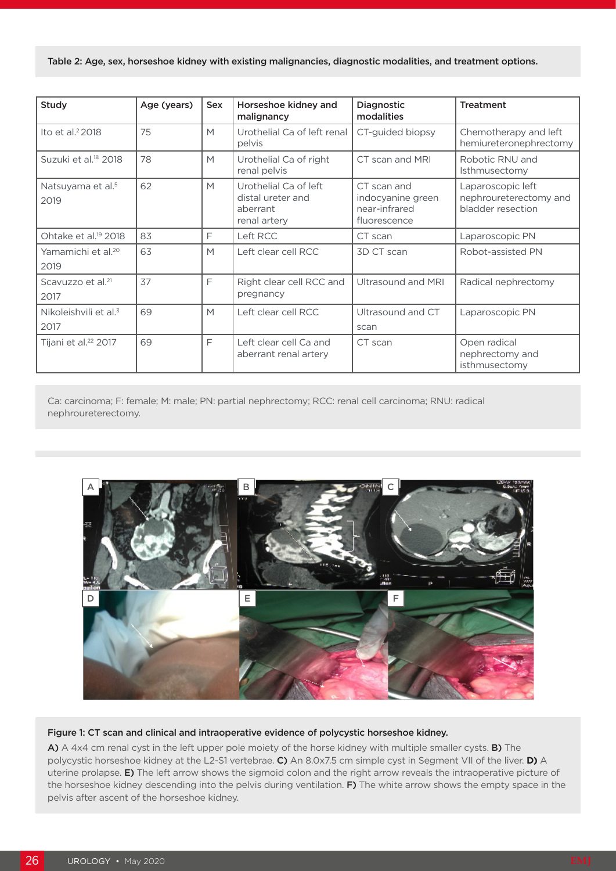Table 2: Age, sex, horseshoe kidney with existing malignancies, diagnostic modalities, and treatment options.

| Study                                     | Age (years) | <b>Sex</b> | Horseshoe kidney and<br>malignancy                                     | <b>Diagnostic</b><br>modalities                                   | <b>Treatment</b>                                                 |
|-------------------------------------------|-------------|------------|------------------------------------------------------------------------|-------------------------------------------------------------------|------------------------------------------------------------------|
| Ito et al. $22018$                        | 75          | M          | Urothelial Ca of left renal<br>pelvis                                  | CT-guided biopsy                                                  | Chemotherapy and left<br>hemiureteronephrectomy                  |
| Suzuki et al. <sup>18</sup> 2018          | 78          | M          | Urothelial Ca of right<br>renal pelvis                                 | CT scan and MRI                                                   | Robotic RNU and<br>Isthmusectomy                                 |
| Natsuyama et al. <sup>5</sup><br>2019     | 62          | M          | Urothelial Ca of left<br>distal ureter and<br>aberrant<br>renal artery | CT scan and<br>indocyanine green<br>near-infrared<br>fluorescence | Laparoscopic left<br>nephroureterectomy and<br>bladder resection |
| Ohtake et al. <sup>19</sup> 2018          | 83          | F          | Left RCC                                                               | CT scan                                                           | Laparoscopic PN                                                  |
| Yamamichi et al. <sup>20</sup><br>2019    | 63          | M          | Left clear cell RCC                                                    | 3D CT scan                                                        | Robot-assisted PN                                                |
| Scavuzzo et al. <sup>21</sup><br>2017     | 37          | F          | Right clear cell RCC and<br>pregnancy                                  | Ultrasound and MRI                                                | Radical nephrectomy                                              |
| Nikoleishvili et al. <sup>3</sup><br>2017 | 69          | M          | Left clear cell RCC                                                    | Ultrasound and CT<br>scan                                         | Laparoscopic PN                                                  |
| Tijani et al. <sup>22</sup> 2017          | 69          | F          | Left clear cell Ca and<br>aberrant renal artery                        | CT scan                                                           | Open radical<br>nephrectomy and<br>isthmusectomy                 |

Ca: carcinoma; F: female; M: male; PN: partial nephrectomy; RCC: renal cell carcinoma; RNU: radical nephroureterectomy.



#### Figure 1: CT scan and clinical and intraoperative evidence of polycystic horseshoe kidney.

A) A 4x4 cm renal cyst in the left upper pole moiety of the horse kidney with multiple smaller cysts. B) The polycystic horseshoe kidney at the L2-S1 vertebrae. C) An 8.0x7.5 cm simple cyst in Segment VII of the liver. **D)** A uterine prolapse. E) The left arrow shows the sigmoid colon and the right arrow reveals the intraoperative picture of the horseshoe kidney descending into the pelvis during ventilation. F) The white arrow shows the empty space in the pelvis after ascent of the horseshoe kidney.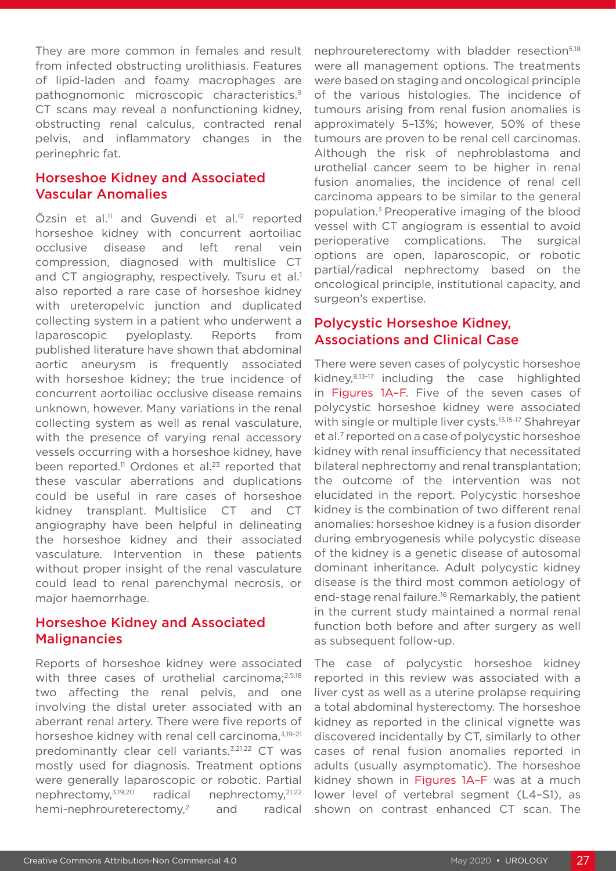They are more common in females and result from infected obstructing urolithiasis. Features of lipid-laden and foamy macrophages are pathognomonic microscopic characteristics.9 CT scans may reveal a nonfunctioning kidney, obstructing renal calculus, contracted renal pelvis, and inflammatory changes in the perinephric fat.

# Horseshoe Kidney and Associated Vascular Anomalies

Özsin et al.<sup>11</sup> and Guvendi et al.<sup>12</sup> reported horseshoe kidney with concurrent aortoiliac occlusive disease and left renal vein compression, diagnosed with multislice CT and CT angiography, respectively. Tsuru et al.<sup>1</sup> also reported a rare case of horseshoe kidney with ureteropelvic junction and duplicated collecting system in a patient who underwent a laparoscopic pyeloplasty. Reports from published literature have shown that abdominal aortic aneurysm is frequently associated with horseshoe kidney; the true incidence of concurrent aortoiliac occlusive disease remains unknown, however. Many variations in the renal collecting system as well as renal vasculature, with the presence of varying renal accessory vessels occurring with a horseshoe kidney, have been reported.<sup>11</sup> Ordones et al.<sup>23</sup> reported that these vascular aberrations and duplications could be useful in rare cases of horseshoe kidney transplant. Multislice CT and CT angiography have been helpful in delineating the horseshoe kidney and their associated vasculature. Intervention in these patients without proper insight of the renal vasculature could lead to renal parenchymal necrosis, or major haemorrhage.

# Horseshoe Kidney and Associated **Malignancies**

Reports of horseshoe kidney were associated with three cases of urothelial carcinoma; $^{2,5,18}$ two affecting the renal pelvis, and one involving the distal ureter associated with an aberrant renal artery. There were five reports of horseshoe kidney with renal cell carcinoma, 3,19-21 predominantly clear cell variants.<sup>3,21,22</sup> CT was mostly used for diagnosis. Treatment options were generally laparoscopic or robotic. Partial nephrectomy,3,19,20 radical nephrectomy,21,22 hemi-nephroureterectomy,<sup>2</sup> and radical nephroureterectomy with bladder resection<sup>5,18</sup> were all management options. The treatments were based on staging and oncological principle of the various histologies. The incidence of tumours arising from renal fusion anomalies is approximately 5–13%; however, 50% of these tumours are proven to be renal cell carcinomas. Although the risk of nephroblastoma and urothelial cancer seem to be higher in renal fusion anomalies, the incidence of renal cell carcinoma appears to be similar to the general population.3 Preoperative imaging of the blood vessel with CT angiogram is essential to avoid perioperative complications. The surgical options are open, laparoscopic, or robotic partial/radical nephrectomy based on the oncological principle, institutional capacity, and surgeon's expertise.

# Polycystic Horseshoe Kidney, Associations and Clinical Case

There were seven cases of polycystic horseshoe kidney,8,13-17 including the case highlighted in Figures 1A–F. Five of the seven cases of polycystic horseshoe kidney were associated with single or multiple liver cysts.<sup>13,15-17</sup> Shahreyar et al.<sup>7</sup> reported on a case of polycystic horseshoe kidney with renal insufficiency that necessitated bilateral nephrectomy and renal transplantation; the outcome of the intervention was not elucidated in the report. Polycystic horseshoe kidney is the combination of two different renal anomalies: horseshoe kidney is a fusion disorder during embryogenesis while polycystic disease of the kidney is a genetic disease of autosomal dominant inheritance. Adult polycystic kidney disease is the third most common aetiology of end-stage renal failure.<sup>16</sup> Remarkably, the patient in the current study maintained a normal renal function both before and after surgery as well as subsequent follow-up.

The case of polycystic horseshoe kidney reported in this review was associated with a liver cyst as well as a uterine prolapse requiring a total abdominal hysterectomy. The horseshoe kidney as reported in the clinical vignette was discovered incidentally by CT, similarly to other cases of renal fusion anomalies reported in adults (usually asymptomatic). The horseshoe kidney shown in Figures 1A–F was at a much lower level of vertebral segment (L4–S1), as shown on contrast enhanced CT scan. The